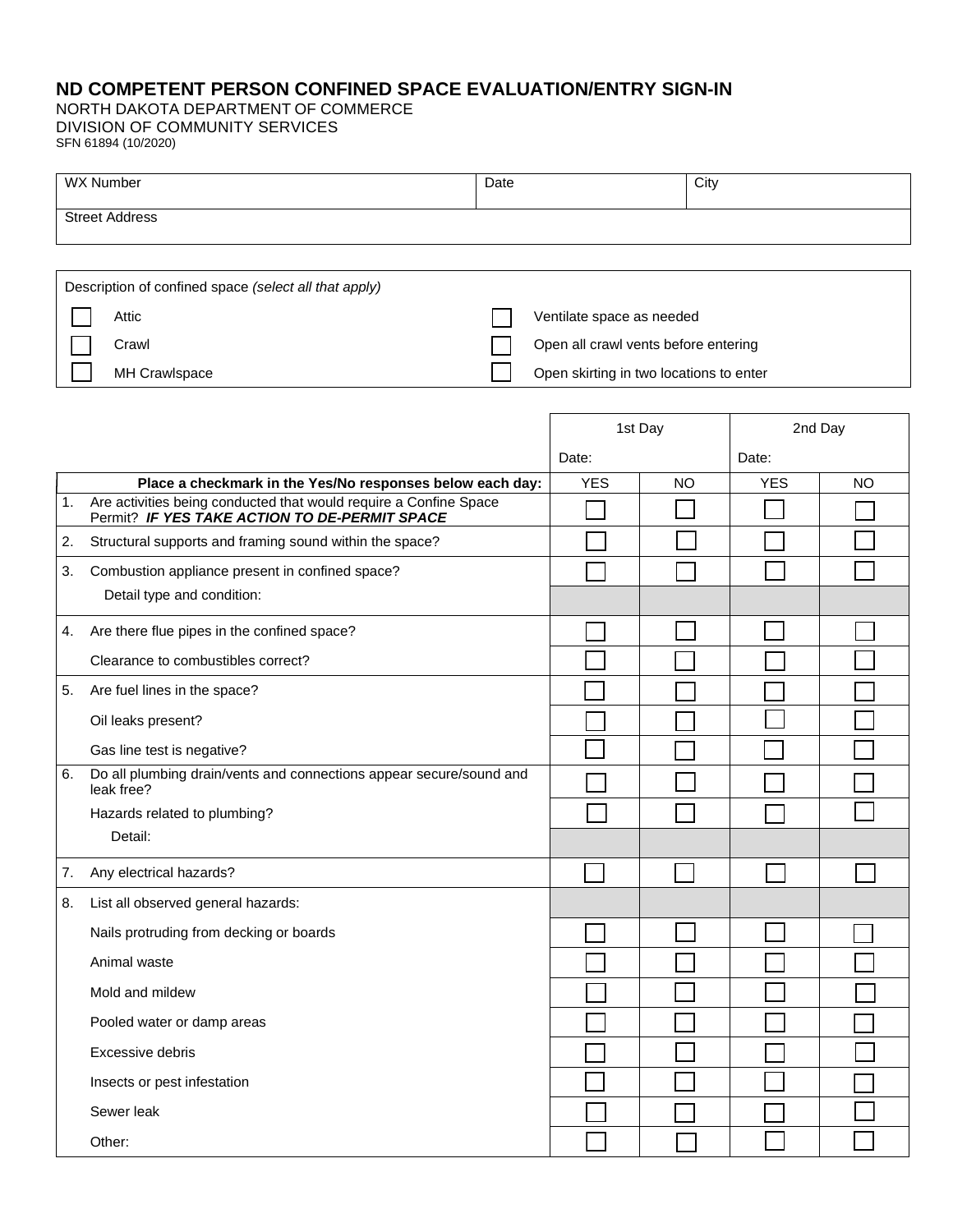## **ND COMPETENT PERSON CONFINED SPACE EVALUATION/ENTRY SIGN-IN**

NORTH DAKOTA DEPARTMENT OF COMMERCE DIVISION OF COMMUNITY SERVICES SFN 61894 (10/2020)

| <b>WX Number</b>      | Date | City |
|-----------------------|------|------|
| <b>Street Address</b> |      |      |
|                       |      |      |

| Description of confined space (select all that apply) |                                         |
|-------------------------------------------------------|-----------------------------------------|
| Attic                                                 | Ventilate space as needed               |
| Crawl                                                 | Open all crawl vents before entering    |
| <b>MH Crawlspace</b>                                  | Open skirting in two locations to enter |

|                  |                                                                                                                    | 1st Day    |           | 2nd Day    |           |
|------------------|--------------------------------------------------------------------------------------------------------------------|------------|-----------|------------|-----------|
|                  |                                                                                                                    | Date:      |           | Date:      |           |
|                  | Place a checkmark in the Yes/No responses below each day:                                                          | <b>YES</b> | <b>NO</b> | <b>YES</b> | <b>NO</b> |
| 1.               | Are activities being conducted that would require a Confine Space<br>Permit? IF YES TAKE ACTION TO DE-PERMIT SPACE |            |           |            |           |
| $\overline{2}$ . | Structural supports and framing sound within the space?                                                            |            |           |            |           |
| 3.               | Combustion appliance present in confined space?                                                                    |            |           |            |           |
|                  | Detail type and condition:                                                                                         |            |           |            |           |
|                  | 4. Are there flue pipes in the confined space?                                                                     |            |           |            |           |
|                  | Clearance to combustibles correct?                                                                                 |            |           |            |           |
|                  | 5. Are fuel lines in the space?                                                                                    |            |           |            |           |
|                  | Oil leaks present?                                                                                                 |            |           |            |           |
|                  | Gas line test is negative?                                                                                         |            |           |            |           |
| 6.               | Do all plumbing drain/vents and connections appear secure/sound and<br>leak free?                                  |            |           |            |           |
|                  | Hazards related to plumbing?                                                                                       |            |           |            |           |
|                  | Detail:                                                                                                            |            |           |            |           |
| 7.               | Any electrical hazards?                                                                                            |            |           |            |           |
| 8.               | List all observed general hazards:                                                                                 |            |           |            |           |
|                  | Nails protruding from decking or boards                                                                            |            |           |            |           |
|                  | Animal waste                                                                                                       |            |           |            |           |
|                  | Mold and mildew                                                                                                    |            |           |            |           |
|                  | Pooled water or damp areas                                                                                         |            |           |            |           |
|                  | Excessive debris                                                                                                   |            |           |            |           |
|                  | Insects or pest infestation                                                                                        |            |           |            |           |
|                  | Sewer leak                                                                                                         |            |           |            |           |
|                  | Other:                                                                                                             |            |           |            |           |